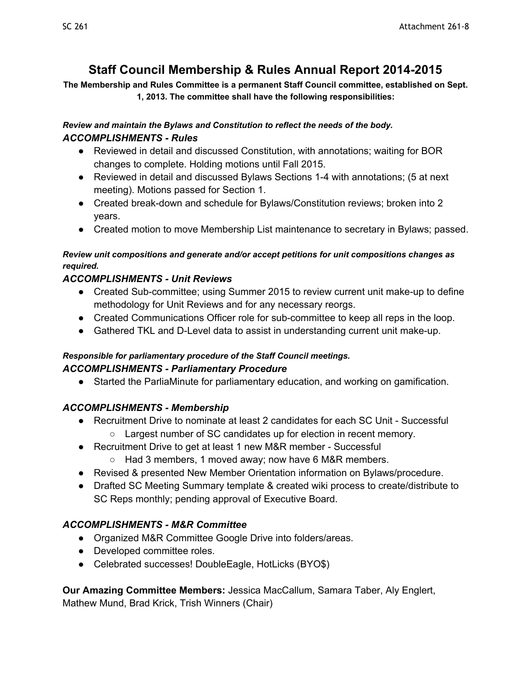# **Staff Council Membership & Rules Annual Report 20142015**

**The Membership and Rules Committee is a permanent Staff Council committee, established on Sept. 1, 2013. The committee shall have the following responsibilities:** 

#### *Review and maintain the Bylaws and Constitution to reflect the needs of the body. ACCOMPLISHMENTS Rules*

- Reviewed in detail and discussed Constitution, with annotations; waiting for BOR changes to complete. Holding motions until Fall 2015.
- Reviewed in detail and discussed Bylaws Sections 1-4 with annotations; (5 at next meeting). Motions passed for Section 1.
- Created break-down and schedule for Bylaws/Constitution reviews; broken into 2 years.
- Created motion to move Membership List maintenance to secretary in Bylaws; passed.

#### *Review unit compositions and generate and/or accept petitions for unit compositions changes as required.*

# *ACCOMPLISHMENTS Unit Reviews*

- Created Sub-committee; using Summer 2015 to review current unit make-up to define methodology for Unit Reviews and for any necessary reorgs.
- Created Communications Officer role for sub-committee to keep all reps in the loop.
- Gathered TKL and D-Level data to assist in understanding current unit make-up.

#### *Responsible for parliamentary procedure of the Staff Council meetings. ACCOMPLISHMENTS Parliamentary Procedure*

● Started the ParliaMinute for parliamentary education, and working on gamification.

# *ACCOMPLISHMENTS Membership*

- Recruitment Drive to nominate at least 2 candidates for each SC Unit Successful
	- Largest number of SC candidates up for election in recent memory.
- Recruitment Drive to get at least 1 new M&R member Successful
	- Had 3 members, 1 moved away; now have 6 M&R members.
- Revised & presented New Member Orientation information on Bylaws/procedure.
- Drafted SC Meeting Summary template & created wiki process to create/distribute to SC Reps monthly; pending approval of Executive Board.

# *ACCOMPLISHMENTS M&R Committee*

- Organized M&R Committee Google Drive into folders/areas.
- Developed committee roles.
- Celebrated successes! DoubleEagle, HotLicks (BYO\$)

**Our Amazing Committee Members:** Jessica MacCallum, Samara Taber, Aly Englert, Mathew Mund, Brad Krick, Trish Winners (Chair)